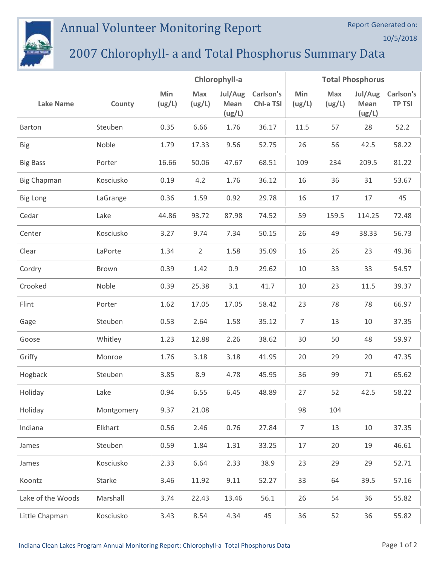## Annual Volunteer Monitoring Report



## 2007 Chlorophyll- a and Total Phosphorus Summary Data

|                    |            | Chlorophyll-a |                |                           | <b>Total Phosphorus</b> |                |               |                           |                            |
|--------------------|------------|---------------|----------------|---------------------------|-------------------------|----------------|---------------|---------------------------|----------------------------|
| <b>Lake Name</b>   | County     | Min<br>(ug/L) | Max<br>(ug/L)  | Jul/Aug<br>Mean<br>(ug/L) | Carlson's<br>Chl-a TSI  | Min<br>(ug/L)  | Max<br>(ug/L) | Jul/Aug<br>Mean<br>(ug/L) | Carlson's<br><b>TP TSI</b> |
| Barton             | Steuben    | 0.35          | 6.66           | 1.76                      | 36.17                   | 11.5           | 57            | 28                        | 52.2                       |
| <b>Big</b>         | Noble      | 1.79          | 17.33          | 9.56                      | 52.75                   | 26             | 56            | 42.5                      | 58.22                      |
| <b>Big Bass</b>    | Porter     | 16.66         | 50.06          | 47.67                     | 68.51                   | 109            | 234           | 209.5                     | 81.22                      |
| <b>Big Chapman</b> | Kosciusko  | 0.19          | 4.2            | 1.76                      | 36.12                   | 16             | 36            | 31                        | 53.67                      |
| <b>Big Long</b>    | LaGrange   | 0.36          | 1.59           | 0.92                      | 29.78                   | 16             | 17            | 17                        | 45                         |
| Cedar              | Lake       | 44.86         | 93.72          | 87.98                     | 74.52                   | 59             | 159.5         | 114.25                    | 72.48                      |
| Center             | Kosciusko  | 3.27          | 9.74           | 7.34                      | 50.15                   | 26             | 49            | 38.33                     | 56.73                      |
| Clear              | LaPorte    | 1.34          | $\overline{2}$ | 1.58                      | 35.09                   | 16             | 26            | 23                        | 49.36                      |
| Cordry             | Brown      | 0.39          | 1.42           | 0.9                       | 29.62                   | 10             | 33            | 33                        | 54.57                      |
| Crooked            | Noble      | 0.39          | 25.38          | 3.1                       | 41.7                    | 10             | 23            | 11.5                      | 39.37                      |
| Flint              | Porter     | 1.62          | 17.05          | 17.05                     | 58.42                   | 23             | 78            | 78                        | 66.97                      |
| Gage               | Steuben    | 0.53          | 2.64           | 1.58                      | 35.12                   | $\overline{7}$ | 13            | 10                        | 37.35                      |
| Goose              | Whitley    | 1.23          | 12.88          | 2.26                      | 38.62                   | 30             | 50            | 48                        | 59.97                      |
| Griffy             | Monroe     | 1.76          | 3.18           | 3.18                      | 41.95                   | 20             | 29            | 20                        | 47.35                      |
| Hogback            | Steuben    | 3.85          | 8.9            | 4.78                      | 45.95                   | 36             | 99            | 71                        | 65.62                      |
| Holiday            | Lake       | 0.94          | 6.55           | 6.45                      | 48.89                   | 27             | 52            | 42.5                      | 58.22                      |
| Holiday            | Montgomery | 9.37          | 21.08          |                           |                         | 98             | 104           |                           |                            |
| Indiana            | Elkhart    | 0.56          | 2.46           | 0.76                      | 27.84                   | $\overline{7}$ | 13            | 10                        | 37.35                      |
| James              | Steuben    | 0.59          | 1.84           | 1.31                      | 33.25                   | 17             | 20            | 19                        | 46.61                      |
| James              | Kosciusko  | 2.33          | 6.64           | 2.33                      | 38.9                    | 23             | 29            | 29                        | 52.71                      |
| Koontz             | Starke     | 3.46          | 11.92          | 9.11                      | 52.27                   | 33             | 64            | 39.5                      | 57.16                      |
| Lake of the Woods  | Marshall   | 3.74          | 22.43          | 13.46                     | 56.1                    | 26             | 54            | 36                        | 55.82                      |
| Little Chapman     | Kosciusko  | 3.43          | 8.54           | 4.34                      | 45                      | 36             | 52            | 36                        | 55.82                      |

Report Generated on:

10/5/2018